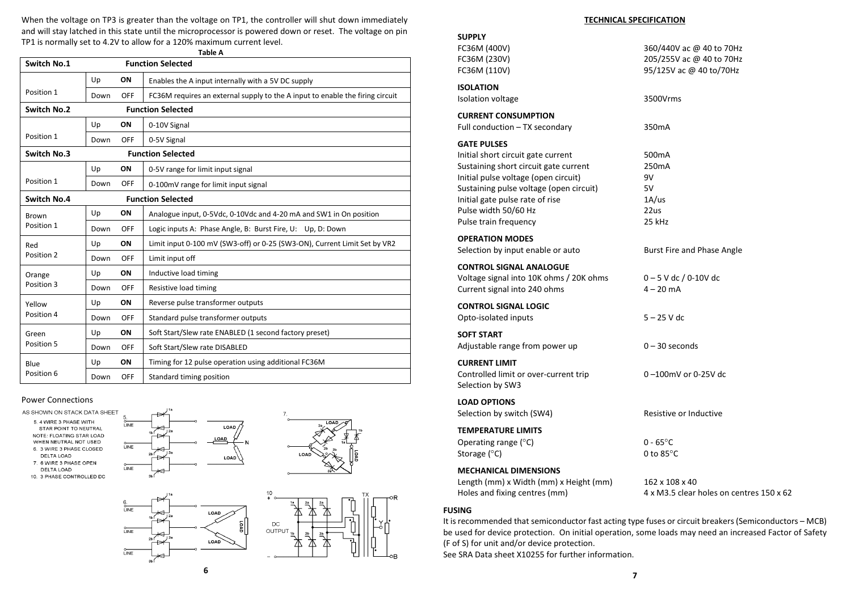When the voltage on TP3 is greater than the voltage on TP1, the controller will shut down immediately and will stay latched in this state until the microprocessor is powered down or reset. The voltage on pin TP1 is normally set to 4.2V to allow for a 120% maximum current level.

| <b>Table A</b>       |      |                          |                                                                               |  |  |
|----------------------|------|--------------------------|-------------------------------------------------------------------------------|--|--|
| Switch No.1          |      | <b>Function Selected</b> |                                                                               |  |  |
|                      | Up   | ON                       | Enables the A input internally with a 5V DC supply                            |  |  |
| Position 1           | Down | OFF                      | FC36M requires an external supply to the A input to enable the firing circuit |  |  |
| Switch No.2          |      |                          | <b>Function Selected</b>                                                      |  |  |
| Position 1           | Up   | ON                       | 0-10V Signal                                                                  |  |  |
|                      | Down | OFF                      | 0-5V Signal                                                                   |  |  |
| Switch No.3          |      | <b>Function Selected</b> |                                                                               |  |  |
|                      | Up   | ON                       | 0-5V range for limit input signal                                             |  |  |
| Position 1           | Down | OFF                      | 0-100mV range for limit input signal                                          |  |  |
| Switch No.4          |      | <b>Function Selected</b> |                                                                               |  |  |
| <b>Brown</b>         | Up   | ON                       | Analogue input, 0-5Vdc, 0-10Vdc and 4-20 mA and SW1 in On position            |  |  |
| Position 1           | Down | OFF                      | Logic inputs A: Phase Angle, B: Burst Fire, U: Up, D: Down                    |  |  |
| Red                  | Up   | ON                       | Limit input 0-100 mV (SW3-off) or 0-25 (SW3-ON), Current Limit Set by VR2     |  |  |
| Position 2           | Down | OFF                      | Limit input off                                                               |  |  |
| Orange<br>Position 3 | Up   | ON                       | Inductive load timing                                                         |  |  |
|                      | Down | OFF                      | Resistive load timing                                                         |  |  |
| Yellow<br>Position 4 | Up   | ON                       | Reverse pulse transformer outputs                                             |  |  |
|                      | Down | OFF                      | Standard pulse transformer outputs                                            |  |  |
| Green<br>Position 5  | Up   | ON                       | Soft Start/Slew rate ENABLED (1 second factory preset)                        |  |  |
|                      | Down | OFF                      | Soft Start/Slew rate DISABLED                                                 |  |  |
| Blue<br>Position 6   | Up   | ON                       | Timing for 12 pulse operation using additional FC36M                          |  |  |
|                      | Down | <b>OFF</b>               | Standard timing position                                                      |  |  |

### Power Connections

AS SHOWN ON STACK DATA SHEET

5.4 WIRE 3 PHASE WITH STAR POINT TO NEUTRAL NOTE: FLOATING STAR LOAD WHEN NEUTRAL NOT USED 6. 3 WIRE 3 PHASE CLOSED **DELTA LOAD** 

7. 6 WIRE 3 PHASE OPEN DELTA LOAD

10. 3 PHASE CONTROLLED DC

LINE

LINE

LINE





ΟB



| <b>SUPPLY</b><br>FC36M (400V)<br>FC36M (230V)<br>FC36M (110V)                                                                                                                                                                                                            | 360/440V ac @ 40 to 70Hz<br>205/255V ac @ 40 to 70Hz<br>95/125V ac @ 40 to/70Hz                        |
|--------------------------------------------------------------------------------------------------------------------------------------------------------------------------------------------------------------------------------------------------------------------------|--------------------------------------------------------------------------------------------------------|
| <b>ISOLATION</b><br>Isolation voltage                                                                                                                                                                                                                                    | 3500Vrms                                                                                               |
| <b>CURRENT CONSUMPTION</b><br>Full conduction - TX secondary                                                                                                                                                                                                             | 350mA                                                                                                  |
| <b>GATE PULSES</b><br>Initial short circuit gate current<br>Sustaining short circuit gate current<br>Initial pulse voltage (open circuit)<br>Sustaining pulse voltage (open circuit)<br>Initial gate pulse rate of rise<br>Pulse width 50/60 Hz<br>Pulse train frequency | 500 <sub>m</sub> A<br>250 <sub>m</sub> A<br>9V<br>5V<br>1A/us<br>22us<br>25 kHz                        |
| <b>OPERATION MODES</b><br>Selection by input enable or auto                                                                                                                                                                                                              | Burst Fire and Phase Angle                                                                             |
| <b>CONTROL SIGNAL ANALOGUE</b><br>Voltage signal into 10K ohms / 20K ohms<br>Current signal into 240 ohms                                                                                                                                                                | $0 - 5$ V dc / 0-10V dc<br>$4 - 20$ mA                                                                 |
| <b>CONTROL SIGNAL LOGIC</b><br>Opto-isolated inputs                                                                                                                                                                                                                      | $5 - 25$ V dc                                                                                          |
| <b>SOFT START</b><br>Adjustable range from power up                                                                                                                                                                                                                      | $0 - 30$ seconds                                                                                       |
| <b>CURRENT LIMIT</b><br>Controlled limit or over-current trip<br>Selection by SW3                                                                                                                                                                                        | 0-100mV or 0-25V dc                                                                                    |
| <b>LOAD OPTIONS</b><br>Selection by switch (SW4)                                                                                                                                                                                                                         | Resistive or Inductive                                                                                 |
| <b>TEMPERATURE LIMITS</b><br>Operating range (°C)<br>Storage (°C)                                                                                                                                                                                                        | $0 - 65^{\circ}$ C<br>0 to $85^{\circ}$ C                                                              |
| <b>MECHANICAL DIMENSIONS</b><br>Length (mm) x Width (mm) x Height (mm)<br>Holes and fixing centres (mm)                                                                                                                                                                  | 162 x 108 x 40<br>4 x M3.5 clear holes on centres 150 x 62                                             |
| <b>FUSING</b>                                                                                                                                                                                                                                                            | It is recommended that semiconductor fast acting type fuses or circuit breakers (Semiconductors - MCB) |

(F of S) for unit and/or device protection.

See SRA Data sheet X10255 for further information.

be used for device protection. On initial operation, some loads may need an increased Factor of Safety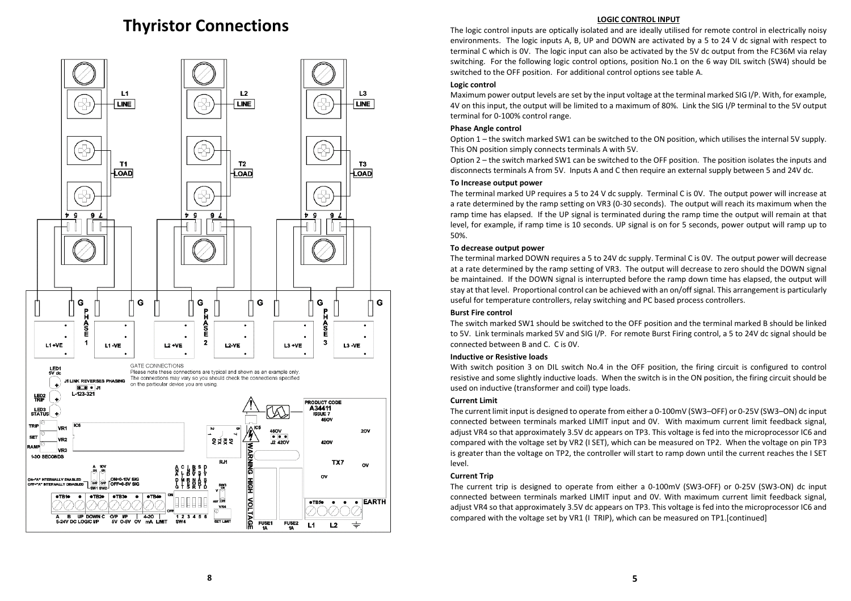### Thyristor Connections



### LOGIC CONTROL INPUT

The logic control inputs are optically isolated and are ideally utilised for remote control in electrically noisy environments. The logic inputs A, B, UP and DOWN are activated by a 5 to 24 V dc signal with respect to terminal C which is 0V. The logic input can also be activated by the 5V dc output from the FC36M via relay switching. For the following logic control options, position No.1 on the 6 way DIL switch (SW4) should be switched to the OFF position. For additional control options see table A.

### Logic control

Maximum power output levels are set by the input voltage at the terminal marked SIG I/P. With, for example, 4V on this input, the output will be limited to a maximum of 80%. Link the SIG I/P terminal to the 5V output terminal for 0-100% control range.

### Phase Angle control

 Option 1 – the switch marked SW1 can be switched to the ON position, which utilises the internal 5V supply. This ON position simply connects terminals A with 5V.

Option 2 – the switch marked SW1 can be switched to the OFF position. The position isolates the inputs and disconnects terminals A from 5V. Inputs A and C then require an external supply between 5 and 24V dc.

### To Increase output power

 The terminal marked UP requires a 5 to 24 V dc supply. Terminal C is 0V. The output power will increase at a rate determined by the ramp setting on VR3 (0-30 seconds). The output will reach its maximum when the ramp time has elapsed. If the UP signal is terminated during the ramp time the output will remain at that level, for example, if ramp time is 10 seconds. UP signal is on for 5 seconds, power output will ramp up to 50%.

### To decrease output power

 The terminal marked DOWN requires a 5 to 24V dc supply. Terminal C is 0V. The output power will decrease at a rate determined by the ramp setting of VR3. The output will decrease to zero should the DOWN signal be maintained. If the DOWN signal is interrupted before the ramp down time has elapsed, the output will stay at that level. Proportional control can be achieved with an on/off signal. This arrangement is particularly useful for temperature controllers, relay switching and PC based process controllers.

### Burst Fire control

The switch marked SW1 should be switched to the OFF position and the terminal marked B should be linked to 5V. Link terminals marked 5V and SIG I/P. For remote Burst Firing control, a 5 to 24V dc signal should be connected between B and C. C is 0V.

### Inductive or Resistive loads

 With switch position 3 on DIL switch No.4 in the OFF position, the firing circuit is configured to control resistive and some slightly inductive loads. When the switch is in the ON position, the firing circuit should be used on inductive (transformer and coil) type loads.

### Current Limit

 The current limit input is designed to operate from either a 0-100mV (SW3–OFF) or 0-25V (SW3–ON) dc input connected between terminals marked LIMIT input and 0V. With maximum current limit feedback signal, adjust VR4 so that approximately 3.5V dc appears on TP3. This voltage is fed into the microprocessor IC6 and compared with the voltage set by VR2 (I SET), which can be measured on TP2. When the voltage on pin TP3 is greater than the voltage on TP2, the controller will start to ramp down until the current reaches the I SET level.

### Current Trip

The current trip is designed to operate from either a 0-100mV (SW3-OFF) or 0-25V (SW3-ON) dc input connected between terminals marked LIMIT input and 0V. With maximum current limit feedback signal, adjust VR4 so that approximately 3.5V dc appears on TP3. This voltage is fed into the microprocessor IC6 and compared with the voltage set by VR1 (I TRIP), which can be measured on TP1.[continued]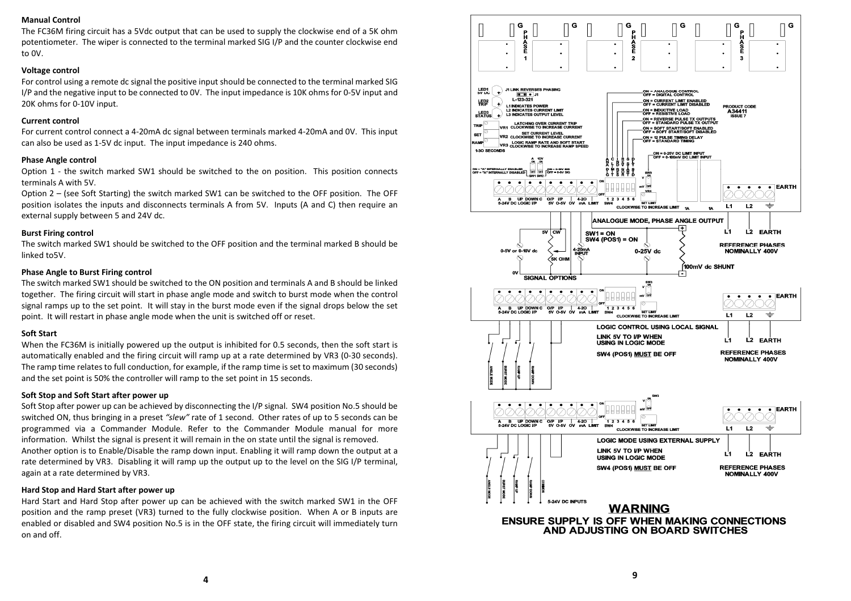### Manual Control

The FC36M firing circuit has a 5Vdc output that can be used to supply the clockwise end of a 5K ohm potentiometer. The wiper is connected to the terminal marked SIG I/P and the counter clockwise end to 0V.

### Voltage control

For control using a remote dc signal the positive input should be connected to the terminal marked SIG I/P and the negative input to be connected to 0V. The input impedance is 10K ohms for 0-5V input and 20K ohms for 0-10V input.

### Current control

For current control connect a 4-20mA dc signal between terminals marked 4-20mA and 0V. This input can also be used as 1-5V dc input. The input impedance is 240 ohms.

### Phase Angle control

Option 1 - the switch marked SW1 should be switched to the on position. This position connects terminals A with 5V.

Option 2 – (see Soft Starting) the switch marked SW1 can be switched to the OFF position. The OFF position isolates the inputs and disconnects terminals A from 5V. Inputs (A and C) then require an external supply between 5 and 24V dc.

### Burst Firing control

 The switch marked SW1 should be switched to the OFF position and the terminal marked B should be linked to5V.

### Phase Angle to Burst Firing control

The switch marked SW1 should be switched to the ON position and terminals A and B should be linked together. The firing circuit will start in phase angle mode and switch to burst mode when the control signal ramps up to the set point. It will stay in the burst mode even if the signal drops below the set point. It will restart in phase angle mode when the unit is switched off or reset.

### Soft Start

When the FC36M is initially powered up the output is inhibited for 0.5 seconds, then the soft start is automatically enabled and the firing circuit will ramp up at a rate determined by VR3 (0-30 seconds). The ramp time relates to full conduction, for example, if the ramp time is set to maximum (30 seconds) and the set point is 50% the controller will ramp to the set point in 15 seconds.

#### Soft Stop and Soft Start after power up

Soft Stop after power up can be achieved by disconnecting the I/P signal. SW4 position No.5 should be switched ON, thus bringing in a preset "slew" rate of 1 second. Other rates of up to 5 seconds can be programmed via a Commander Module. Refer to the Commander Module manual for more information. Whilst the signal is present it will remain in the on state until the signal is removed. Another option is to Enable/Disable the ramp down input. Enabling it will ramp down the output at a rate determined by VR3. Disabling it will ramp up the output up to the level on the SIG I/P terminal,

#### Hard Stop and Hard Start after power up

again at a rate determined by VR3.

Hard Start and Hard Stop after power up can be achieved with the switch marked SW1 in the OFF position and the ramp preset (VR3) turned to the fully clockwise position. When A or B inputs are enabled or disabled and SW4 position No.5 is in the OFF state, the firing circuit will immediately turn on and off.

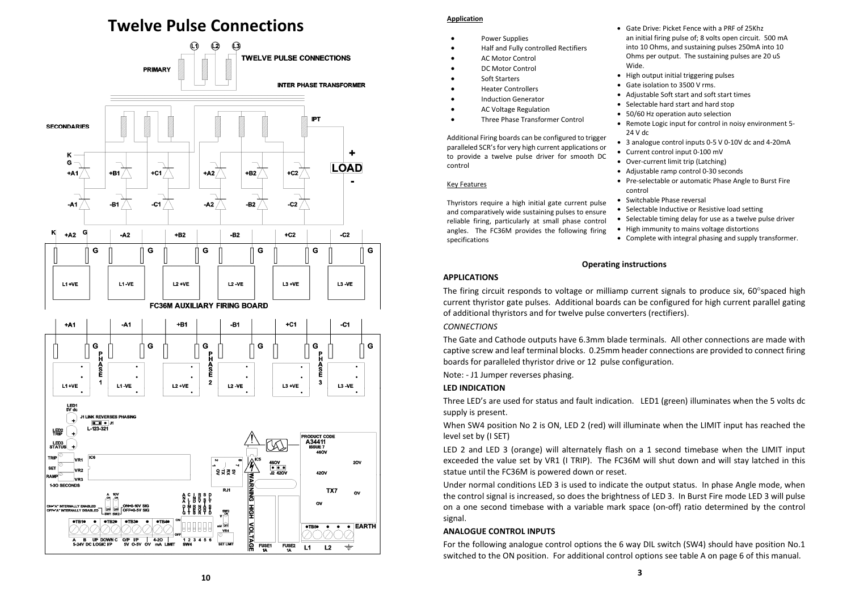### Twelve Pulse Connections



### Application

- • Power Supplies
	- •Half and Fully controlled Rectifiers
	- •AC Motor Control
	- •DC Motor Control
- Soft Starters
- •Heater Controllers
- Induction Generator
- •AC Voltage Regulation
- •Three Phase Transformer Control

Additional Firing boards can be configured to trigger paralleled SCR's for very high current applications or to provide a twelve pulse driver for smooth DC control

### Key Features

Thyristors require a high initial gate current pulse and comparatively wide sustaining pulses to ensure reliable firing, particularly at small phase control angles. The FC36M provides the following firing specifications

- Gate Drive: Picket Fence with a PRF of 25Khz an initial firing pulse of; 8 volts open circuit. 500 mA into 10 Ohms, and sustaining pulses 250mA into 10 Ohms per output. The sustaining pulses are 20 uS Wide.
- High output initial triggering pulses
- Gate isolation to 3500 V rms.
- Adjustable Soft start and soft start times
- Selectable hard start and hard stop
- 50/60 Hz operation auto selection
- Remote Logic input for control in noisy environment 5- 24 V dc
- 3 analogue control inputs 0-5 V 0-10V dc and 4-20mA
- Current control input 0-100 mV
- Over-current limit trip (Latching)
- Adjustable ramp control 0-30 seconds
- Pre-selectable or automatic Phase Angle to Burst Fire control
- Switchable Phase reversal
- Selectable Inductive or Resistive load setting
- Selectable timing delay for use as a twelve pulse driver
- High immunity to mains voltage distortions
- Complete with integral phasing and supply transformer.

### Operating instructions

### APPLICATIONS

The firing circuit responds to voltage or milliamp current signals to produce six,  $60^{\circ}$ spaced high current thyristor gate pulses. Additional boards can be configured for high current parallel gating of additional thyristors and for twelve pulse converters (rectifiers).

### **CONNECTIONS**

The Gate and Cathode outputs have 6.3mm blade terminals. All other connections are made with captive screw and leaf terminal blocks. 0.25mm header connections are provided to connect firing boards for paralleled thyristor drive or 12 pulse configuration.

Note: - J1 Jumper reverses phasing.

### LED INDICATION

Three LED's are used for status and fault indication. LED1 (green) illuminates when the 5 volts dc supply is present.

When SW4 position No 2 is ON, LED 2 (red) will illuminate when the LIMIT input has reached the level set by (I SET)

LED 2 and LED 3 (orange) will alternately flash on a 1 second timebase when the LIMIT input exceeded the value set by VR1 (I TRIP). The FC36M will shut down and will stay latched in this statue until the FC36M is powered down or reset.

Under normal conditions LED 3 is used to indicate the output status. In phase Angle mode, when the control signal is increased, so does the brightness of LED 3. In Burst Fire mode LED 3 will pulse on a one second timebase with a variable mark space (on-off) ratio determined by the control signal.

### ANALOGUE CONTROL INPUTS

For the following analogue control options the 6 way DIL switch (SW4) should have position No.1 switched to the ON position. For additional control options see table A on page 6 of this manual.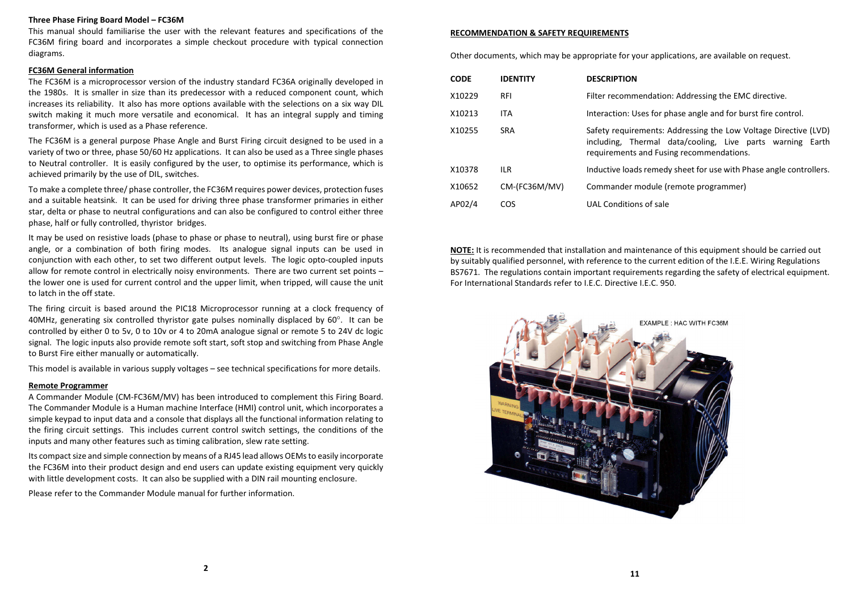### Three Phase Firing Board Model – FC36M

This manual should familiarise the user with the relevant features and specifications of the FC36M firing board and incorporates a simple checkout procedure with typical connection diagrams.

#### FC36M General information

The FC36M is a microprocessor version of the industry standard FC36A originally developed in the 1980s. It is smaller in size than its predecessor with a reduced component count, which increases its reliability. It also has more options available with the selections on a six way DIL switch making it much more versatile and economical. It has an integral supply and timing transformer, which is used as a Phase reference.

The FC36M is a general purpose Phase Angle and Burst Firing circuit designed to be used in a variety of two or three, phase 50/60 Hz applications. It can also be used as a Three single phases to Neutral controller. It is easily configured by the user, to optimise its performance, which is achieved primarily by the use of DIL, switches.

To make a complete three/ phase controller, the FC36M requires power devices, protection fuses and a suitable heatsink. It can be used for driving three phase transformer primaries in either star, delta or phase to neutral configurations and can also be configured to control either three phase, half or fully controlled, thyristor bridges.

It may be used on resistive loads (phase to phase or phase to neutral), using burst fire or phase angle, or a combination of both firing modes. Its analogue signal inputs can be used in conjunction with each other, to set two different output levels. The logic opto-coupled inputs allow for remote control in electrically noisy environments. There are two current set points – the lower one is used for current control and the upper limit, when tripped, will cause the unit to latch in the off state.

The firing circuit is based around the PIC18 Microprocessor running at a clock frequency of 40MHz, generating six controlled thyristor gate pulses nominally displaced by  $60^\circ$ . It can be controlled by either 0 to 5v, 0 to 10v or 4 to 20mA analogue signal or remote 5 to 24V dc logic signal. The logic inputs also provide remote soft start, soft stop and switching from Phase Angle to Burst Fire either manually or automatically.

This model is available in various supply voltages – see technical specifications for more details.

### Remote Programmer

A Commander Module (CM-FC36M/MV) has been introduced to complement this Firing Board. The Commander Module is a Human machine Interface (HMI) control unit, which incorporates a simple keypad to input data and a console that displays all the functional information relating to the firing circuit settings. This includes current control switch settings, the conditions of the inputs and many other features such as timing calibration, slew rate setting.

Its compact size and simple connection by means of a RJ45 lead allows OEMs to easily incorporate the FC36M into their product design and end users can update existing equipment very quickly with little development costs. It can also be supplied with a DIN rail mounting enclosure.

Please refer to the Commander Module manual for further information.

### RECOMMENDATION & SAFETY REQUIREMENTS

Other documents, which may be appropriate for your applications, are available on request.

| <b>CODE</b> | <b>IDENTITY</b> | <b>DESCRIPTION</b>                                                                                                                                                       |
|-------------|-----------------|--------------------------------------------------------------------------------------------------------------------------------------------------------------------------|
| X10229      | <b>RFI</b>      | Filter recommendation: Addressing the EMC directive.                                                                                                                     |
| X10213      | <b>ITA</b>      | Interaction: Uses for phase angle and for burst fire control.                                                                                                            |
| X10255      | <b>SRA</b>      | Safety requirements: Addressing the Low Voltage Directive (LVD)<br>including, Thermal data/cooling, Live parts warning Earth<br>requirements and Fusing recommendations. |
| X10378      | ILR.            | Inductive loads remedy sheet for use with Phase angle controllers.                                                                                                       |
| X10652      | CM-(FC36M/MV)   | Commander module (remote programmer)                                                                                                                                     |
| AP02/4      | COS             | UAL Conditions of sale                                                                                                                                                   |

NOTE: It is recommended that installation and maintenance of this equipment should be carried out by suitably qualified personnel, with reference to the current edition of the I.E.E. Wiring Regulations BS7671. The regulations contain important requirements regarding the safety of electrical equipment. For International Standards refer to I.E.C. Directive I.E.C. 950.